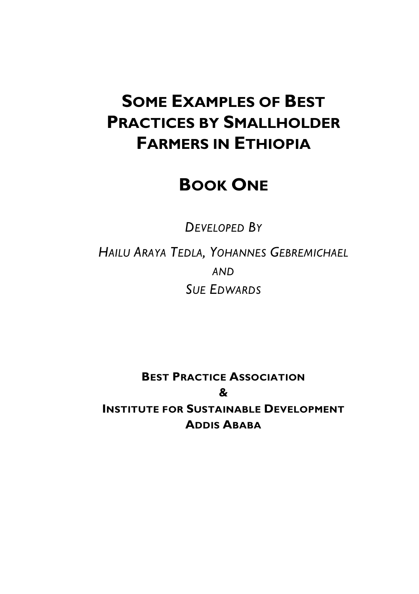# **SOME EXAMPLES OF BEST PRACTICES BY SMALLHOLDER FARMERS IN ETHIOPIA**

### **BOOK ONE**

*DEVELOPED BY*

*HAILU ARAYA TEDLA, YOHANNES GEBREMICHAEL AND SUE EDWARDS*

**BEST PRACTICE ASSOCIATION & INSTITUTE FOR SUSTAINABLE DEVELOPMENT ADDIS ABABA**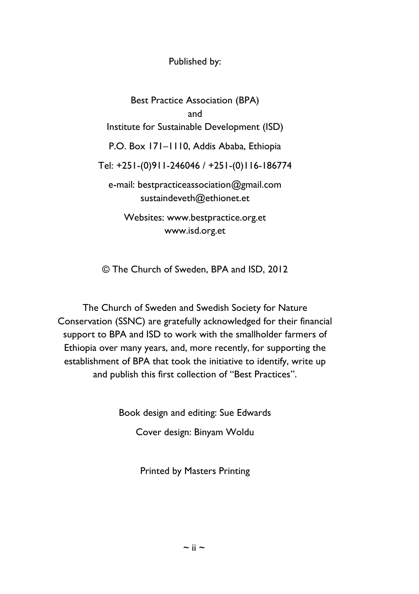Published by:

Best Practice Association (BPA) and Institute for Sustainable Development (ISD) P.O. Box 171–1110, Addis Ababa, Ethiopia Tel: +251-(0)911-246046 / +251-(0)116-186774 e-mail: bestpracticeassociation@gmail.com sustaindeveth@ethionet.et Websites: www.bestpractice.org.et www.isd.org.et

© The Church of Sweden, BPA and ISD, 2012

The Church of Sweden and Swedish Society for Nature Conservation (SSNC) are gratefully acknowledged for their financial support to BPA and ISD to work with the smallholder farmers of Ethiopia over many years, and, more recently, for supporting the establishment of BPA that took the initiative to identify, write up and publish this first collection of "Best Practices".

Book design and editing: Sue Edwards

Cover design: Binyam Woldu

Printed by Masters Printing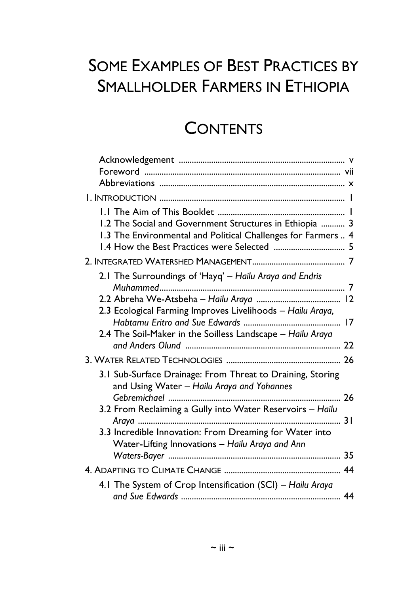# **SOME EXAMPLES OF BEST PRACTICES BY SMALLHOLDER FARMERS IN ETHIOPIA**

## **CONTENTS**

| 1.2 The Social and Government Structures in Ethiopia  3                                                    |
|------------------------------------------------------------------------------------------------------------|
| 1.3 The Environmental and Political Challenges for Farmers  4                                              |
| 1.4 How the Best Practices were Selected  5                                                                |
|                                                                                                            |
| 2.1 The Surroundings of 'Hayq' - Hailu Araya and Endris                                                    |
|                                                                                                            |
|                                                                                                            |
| 2.3 Ecological Farming Improves Livelihoods - Hailu Araya,                                                 |
|                                                                                                            |
| 2.4 The Soil-Maker in the Soilless Landscape - Hailu Araya                                                 |
|                                                                                                            |
|                                                                                                            |
| 3.1 Sub-Surface Drainage: From Threat to Draining, Storing<br>and Using Water - Hailu Araya and Yohannes   |
| 26                                                                                                         |
| 3.2 From Reclaiming a Gully into Water Reservoirs - Hailu                                                  |
|                                                                                                            |
| 3.3 Incredible Innovation: From Dreaming for Water into<br>Water-Lifting Innovations - Hailu Araya and Ann |
| 35                                                                                                         |
|                                                                                                            |
| 4.1 The System of Crop Intensification (SCI) - Hailu Araya                                                 |
|                                                                                                            |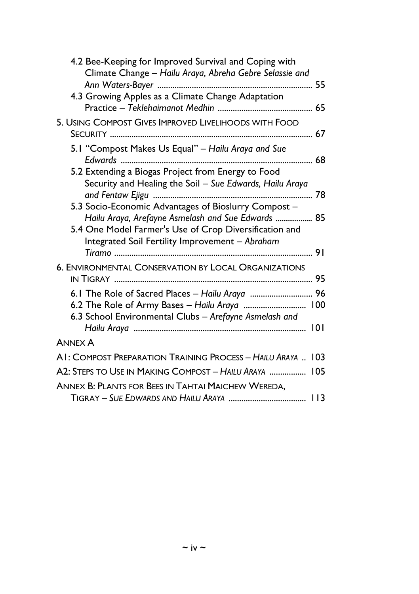| 4.2 Bee-Keeping for Improved Survival and Coping with<br>Climate Change - Hailu Araya, Abreha Gebre Selassie and                                                |
|-----------------------------------------------------------------------------------------------------------------------------------------------------------------|
| 4.3 Growing Apples as a Climate Change Adaptation                                                                                                               |
| 5. USING COMPOST GIVES IMPROVED LIVELIHOODS WITH FOOD                                                                                                           |
| 5.1 "Compost Makes Us Equal" - Hailu Araya and Sue                                                                                                              |
| 5.2 Extending a Biogas Project from Energy to Food<br>Security and Healing the Soil - Sue Edwards, Hailu Araya                                                  |
| 5.3 Socio-Economic Advantages of Bioslurry Compost -                                                                                                            |
| Hailu Araya, Arefayne Asmelash and Sue Edwards  85<br>5.4 One Model Farmer's Use of Crop Diversification and<br>Integrated Soil Fertility Improvement - Abraham |
|                                                                                                                                                                 |
| <b>6. ENVIRONMENTAL CONSERVATION BY LOCAL ORGANIZATIONS</b>                                                                                                     |
| 6.1 The Role of Sacred Places - Hailu Araya  96                                                                                                                 |
| 6.2 The Role of Army Bases - Hailu Araya  100<br>6.3 School Environmental Clubs - Arefayne Asmelash and                                                         |
|                                                                                                                                                                 |
| <b>ANNEX A</b>                                                                                                                                                  |
| AI: COMPOST PREPARATION TRAINING PROCESS - HAILU ARAYA  103                                                                                                     |
| A2: Steps to Use in Making Compost - Hailu Araya  105                                                                                                           |
| ANNEX B: PLANTS FOR BEES IN TAHTAI MAICHEW WEREDA.                                                                                                              |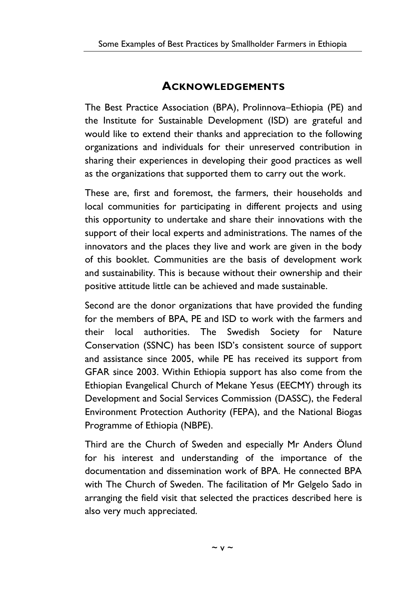### **ACKNOWLEDGEMENTS**

The Best Practice Association (BPA), Prolinnova–Ethiopia (PE) and the Institute for Sustainable Development (ISD) are grateful and would like to extend their thanks and appreciation to the following organizations and individuals for their unreserved contribution in sharing their experiences in developing their good practices as well as the organizations that supported them to carry out the work.

These are, first and foremost, the farmers, their households and local communities for participating in different projects and using this opportunity to undertake and share their innovations with the support of their local experts and administrations. The names of the innovators and the places they live and work are given in the body of this booklet. Communities are the basis of development work and sustainability. This is because without their ownership and their positive attitude little can be achieved and made sustainable.

Second are the donor organizations that have provided the funding for the members of BPA, PE and ISD to work with the farmers and their local authorities. The Swedish Society for Nature Conservation (SSNC) has been ISD's consistent source of support and assistance since 2005, while PE has received its support from GFAR since 2003. Within Ethiopia support has also come from the Ethiopian Evangelical Church of Mekane Yesus (EECMY) through its Development and Social Services Commission (DASSC), the Federal Environment Protection Authority (FEPA), and the National Biogas Programme of Ethiopia (NBPE).

Third are the Church of Sweden and especially Mr Anders Ölund for his interest and understanding of the importance of the documentation and dissemination work of BPA. He connected BPA with The Church of Sweden. The facilitation of Mr Gelgelo Sado in arranging the field visit that selected the practices described here is also very much appreciated.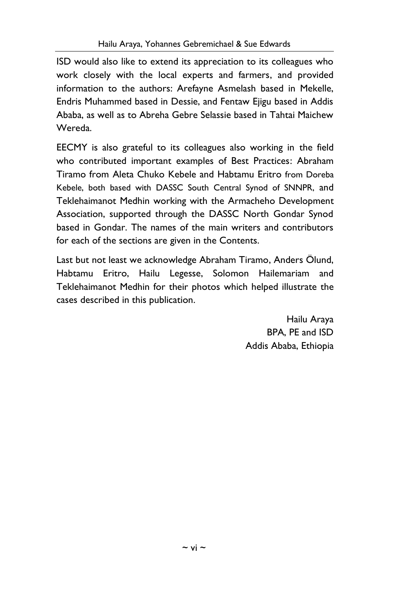ISD would also like to extend its appreciation to its colleagues who work closely with the local experts and farmers, and provided information to the authors: Arefayne Asmelash based in Mekelle, Endris Muhammed based in Dessie, and Fentaw Ejigu based in Addis Ababa, as well as to Abreha Gebre Selassie based in Tahtai Maichew Wereda.

EECMY is also grateful to its colleagues also working in the field who contributed important examples of Best Practices: Abraham Tiramo from Aleta Chuko Kebele and Habtamu Eritro from Doreba Kebele, both based with DASSC South Central Synod of SNNPR, and Teklehaimanot Medhin working with the Armacheho Development Association, supported through the DASSC North Gondar Synod based in Gondar. The names of the main writers and contributors for each of the sections are given in the Contents.

Last but not least we acknowledge Abraham Tiramo, Anders Ölund, Habtamu Eritro, Hailu Legesse, Solomon Hailemariam and Teklehaimanot Medhin for their photos which helped illustrate the cases described in this publication.

> Hailu Araya BPA, PE and ISD Addis Ababa, Ethiopia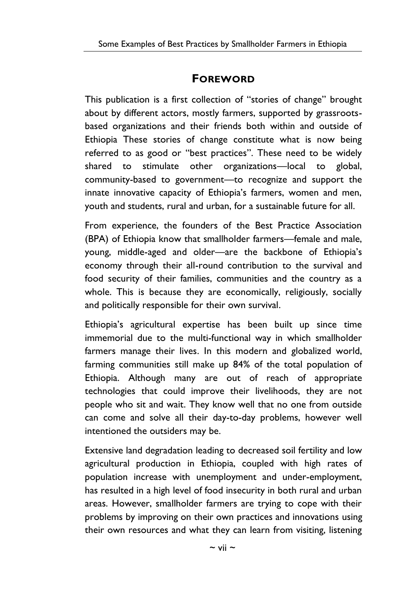### **FOREWORD**

This publication is a first collection of "stories of change" brought about by different actors, mostly farmers, supported by grassroots based organizations and their friends both within and outside of Ethiopia These stories of change constitute what is now being referred to as good or "best practices". These need to be widely shared to stimulate other organizations—local to global, community-based to government—to recognize and support the innate innovative capacity of Ethiopia's farmers, women and men, youth and students, rural and urban, for a sustainable future for all.

From experience, the founders of the Best Practice Association (BPA) of Ethiopia know that smallholder farmers—female and male, young, middle-aged and older—are the backbone of Ethiopia's economy through their all-round contribution to the survival and food security of their families, communities and the country as a whole. This is because they are economically, religiously, socially and politically responsible for their own survival.

Ethiopia's agricultural expertise has been built up since time immemorial due to the multi-functional way in which smallholder farmers manage their lives. In this modern and globalized world, farming communities still make up 84% of the total population of Ethiopia. Although many are out of reach of appropriate technologies that could improve their livelihoods, they are not people who sit and wait. They know well that no one from outside can come and solve all their day-to-day problems, however well intentioned the outsiders may be.

Extensive land degradation leading to decreased soil fertility and low agricultural production in Ethiopia, coupled with high rates of population increase with unemployment and under-employment, has resulted in a high level of food insecurity in both rural and urban areas. However, smallholder farmers are trying to cope with their problems by improving on their own practices and innovations using their own resources and what they can learn from visiting, listening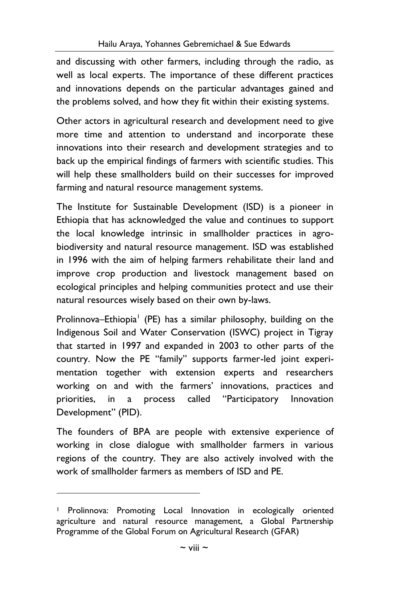and discussing with other farmers, including through the radio, as well as local experts. The importance of these different practices and innovations depends on the particular advantages gained and the problems solved, and how they fit within their existing systems.

Other actors in agricultural research and development need to give more time and attention to understand and incorporate these innovations into their research and development strategies and to back up the empirical findings of farmers with scientific studies. This will help these smallholders build on their successes for improved farming and natural resource management systems.

The Institute for Sustainable Development (ISD) is a pioneer in Ethiopia that has acknowledged the value and continues to support the local knowledge intrinsic in smallholder practices in agro biodiversity and natural resource management. ISD was established in 1996 with the aim of helping farmers rehabilitate their land and improve crop production and livestock management based on ecological principles and helping communities protect and use their natural resources wisely based on their own by-laws.

Prolinnova–Ethiopia<sup>1</sup> (PE) has a similar philosophy, building on the Indigenous Soil and Water Conservation (ISWC) project in Tigray that started in 1997 and expanded in 2003 to other parts of the country. Now the PE "family" supports farmer-led joint experi mentation together with extension experts and researchers working on and with the farmers' innovations, practices and priorities, in a process called "Participatory Innovation Development" (PID).

The founders of BPA are people with extensive experience of working in close dialogue with smallholder farmers in various regions of the country. They are also actively involved with the work of smallholder farmers as members of ISD and PE.

<sup>1</sup> Prolinnova: Promoting Local Innovation in ecologically oriented agriculture and natural resource management, a Global Partnership Programme of the Global Forum on Agricultural Research (GFAR)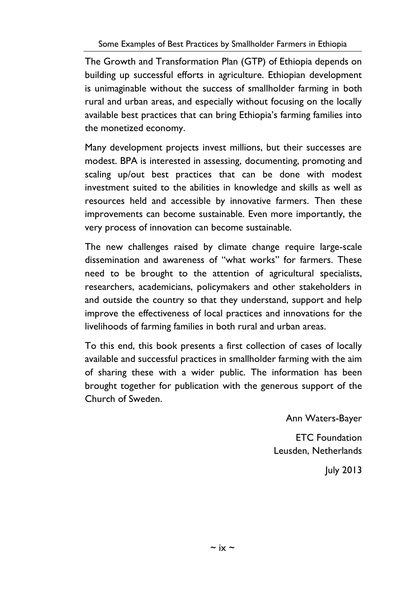The Growth and Transformation Plan (GTP) of Ethiopia depends on building up successful efforts in agriculture. Ethiopian development is unimaginable without the success of smallholder farming in both rural and urban areas, and especially without focusing on the locally available best practices that can bring Ethiopia's farming families into the monetized economy.

Many development projects invest millions, but their successes are modest. BPA is interested in assessing, documenting, promoting and scaling up/out best practices that can be done with modest investment suited to the abilities in knowledge and skills as well as resources held and accessible by innovative farmers. Then these improvements can become sustainable. Even more importantly, the very process of innovation can become sustainable.

The new challenges raised by climate change require large-scale dissemination and awareness of "what works" for farmers. These need to be brought to the attention of agricultural specialists, researchers, academicians, policymakers and other stakeholders in and outside the country so that they understand, support and help improve the effectiveness of local practices and innovations for the livelihoods of farming families in both rural and urban areas.

To this end, this book presents a first collection of cases of locally available and successful practices in smallholder farming with the aim of sharing these with a wider public. The information has been brought together for publication with the generous support of the Church of Sweden.

Ann Waters-Bayer

ETC Foundation Leusden, Netherlands

July 2013